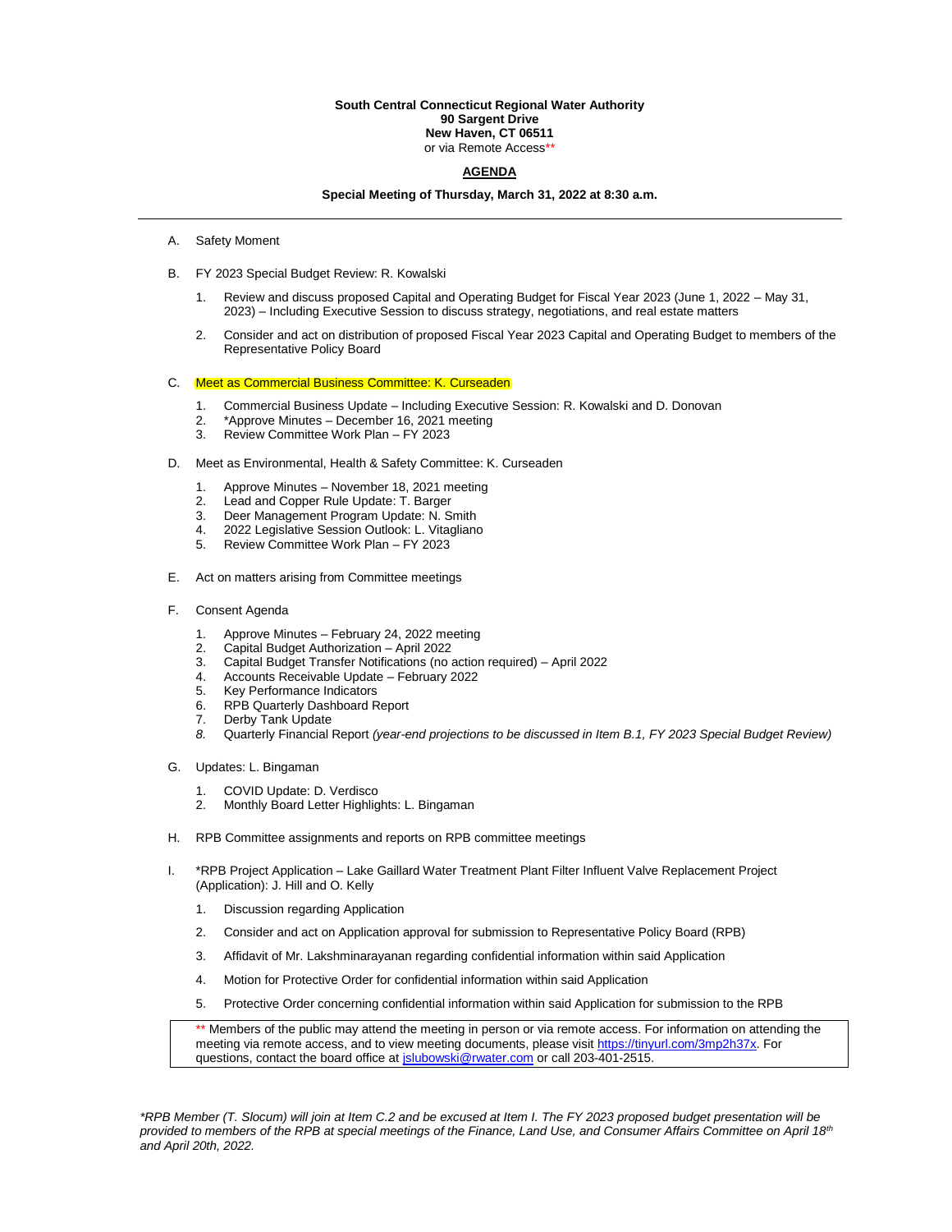#### **South Central Connecticut Regional Water Authority 90 Sargent Drive New Haven, CT 06511** or via Remote Access\*

## **AGENDA**

### **Special Meeting of Thursday, March 31, 2022 at 8:30 a.m.**

- A. Safety Moment
- B. FY 2023 Special Budget Review: R. Kowalski
	- 1. Review and discuss proposed Capital and Operating Budget for Fiscal Year 2023 (June 1, 2022 May 31, 2023) – Including Executive Session to discuss strategy, negotiations, and real estate matters
	- 2. Consider and act on distribution of proposed Fiscal Year 2023 Capital and Operating Budget to members of the Representative Policy Board

### C. Meet as Commercial Business Committee: K. Curseaden

- 1. Commercial Business Update Including Executive Session: R. Kowalski and D. Donovan
- 2. \*Approve Minutes December 16, 2021 meeting<br>3. Review Committee Work Plan FY 2023
- 3. Review Committee Work Plan FY 2023
- D. Meet as Environmental, Health & Safety Committee: K. Curseaden
	- 1. Approve Minutes November 18, 2021 meeting
	- 2. Lead and Copper Rule Update: T. Barger
	- 3. Deer Management Program Update: N. Smith
	- 4. 2022 Legislative Session Outlook: L. Vitagliano
	- 5. Review Committee Work Plan FY 2023
- E. Act on matters arising from Committee meetings
- F. Consent Agenda
	- 1. Approve Minutes February 24, 2022 meeting<br>2. Capital Budget Authorization April 2022
	- 2. Capital Budget Authorization April 2022
	- 3. Capital Budget Transfer Notifications (no action required) April 2022
	- 4. Accounts Receivable Update February 2022<br>5. Key Performance Indicators<br> $\overline{P} = \overline{P}$
	- Key Performance Indicators
	- 6. RPB Quarterly Dashboard Report
	- 7. Derby Tank Update
	- *8.* Quarterly Financial Report *(year-end projections to be discussed in Item B.1, FY 2023 Special Budget Review)*
- G. Updates: L. Bingaman
	- 1. COVID Update: D. Verdisco
	- 2. Monthly Board Letter Highlights: L. Bingaman
- H. RPB Committee assignments and reports on RPB committee meetings
- I. \*RPB Project Application Lake Gaillard Water Treatment Plant Filter Influent Valve Replacement Project (Application): J. Hill and O. Kelly
	- 1. Discussion regarding Application
	- 2. Consider and act on Application approval for submission to Representative Policy Board (RPB)
	- 3. Affidavit of Mr. Lakshminarayanan regarding confidential information within said Application
	- 4. Motion for Protective Order for confidential information within said Application
	- 5. Protective Order concerning confidential information within said Application for submission to the RPB

Members of the public may attend the meeting in person or via remote access. For information on attending the meeting via remote access, and to view meeting documents, please visi[t https://tinyurl.com/3mp2h37x.](https://tinyurl.com/3mp2h37x) For questions, contact the board office at *islubowski@rwater.com* or call 203-401-2515.

*\*RPB Member (T. Slocum) will join at Item C.2 and be excused at Item I. The FY 2023 proposed budget presentation will be provided to members of the RPB at special meetings of the Finance, Land Use, and Consumer Affairs Committee on April 18th and April 20th, 2022.*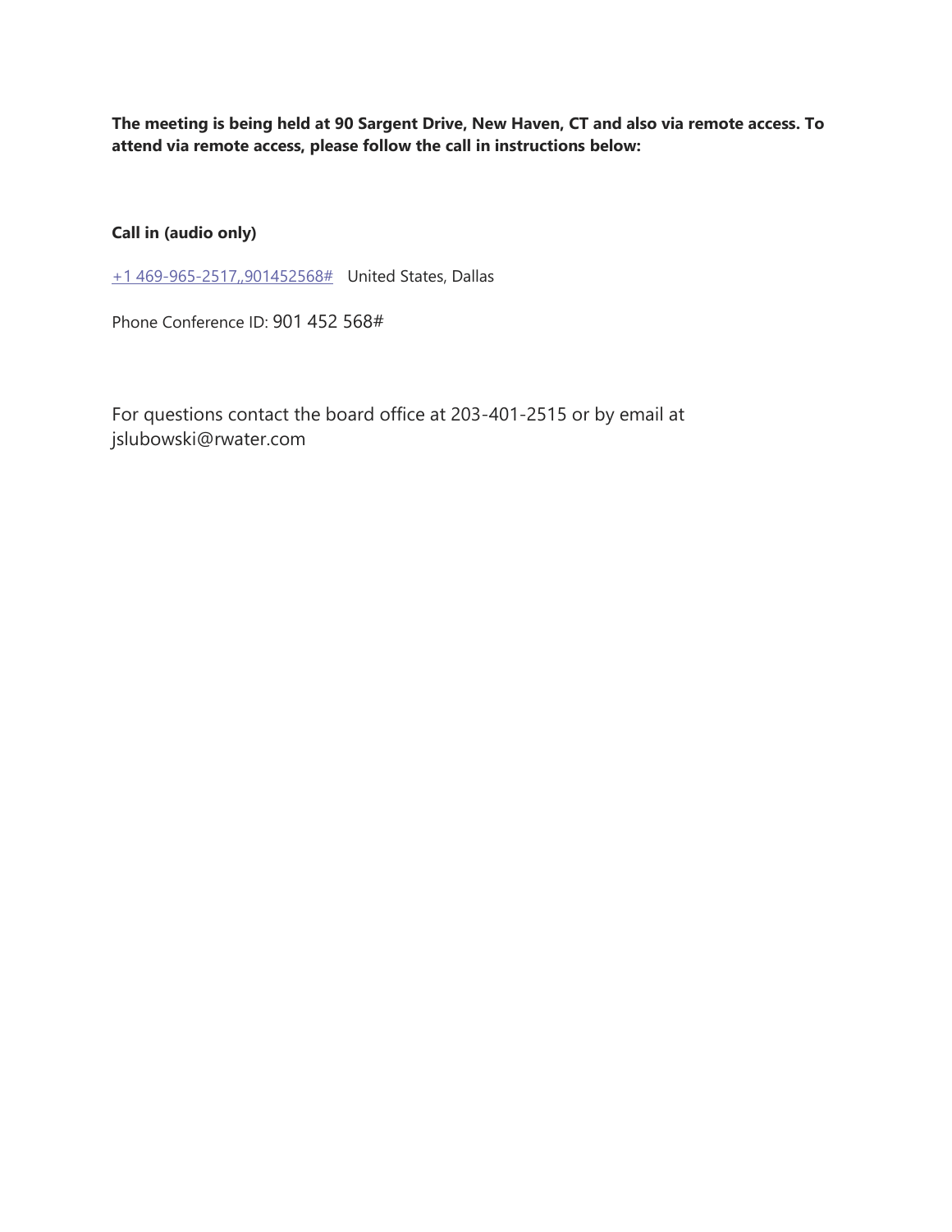**The meeting is being held at 90 Sargent Drive, New Haven, CT and also via remote access. To attend via remote access, please follow the call in instructions below:**

**Call in (audio only)**

[+1 469-965-2517,,901452568#](tel:+14699652517,,901452568# ) United States, Dallas

Phone Conference ID: 901 452 568#

For questions contact the board office at 203-401-2515 or by email at jslubowski@rwater.com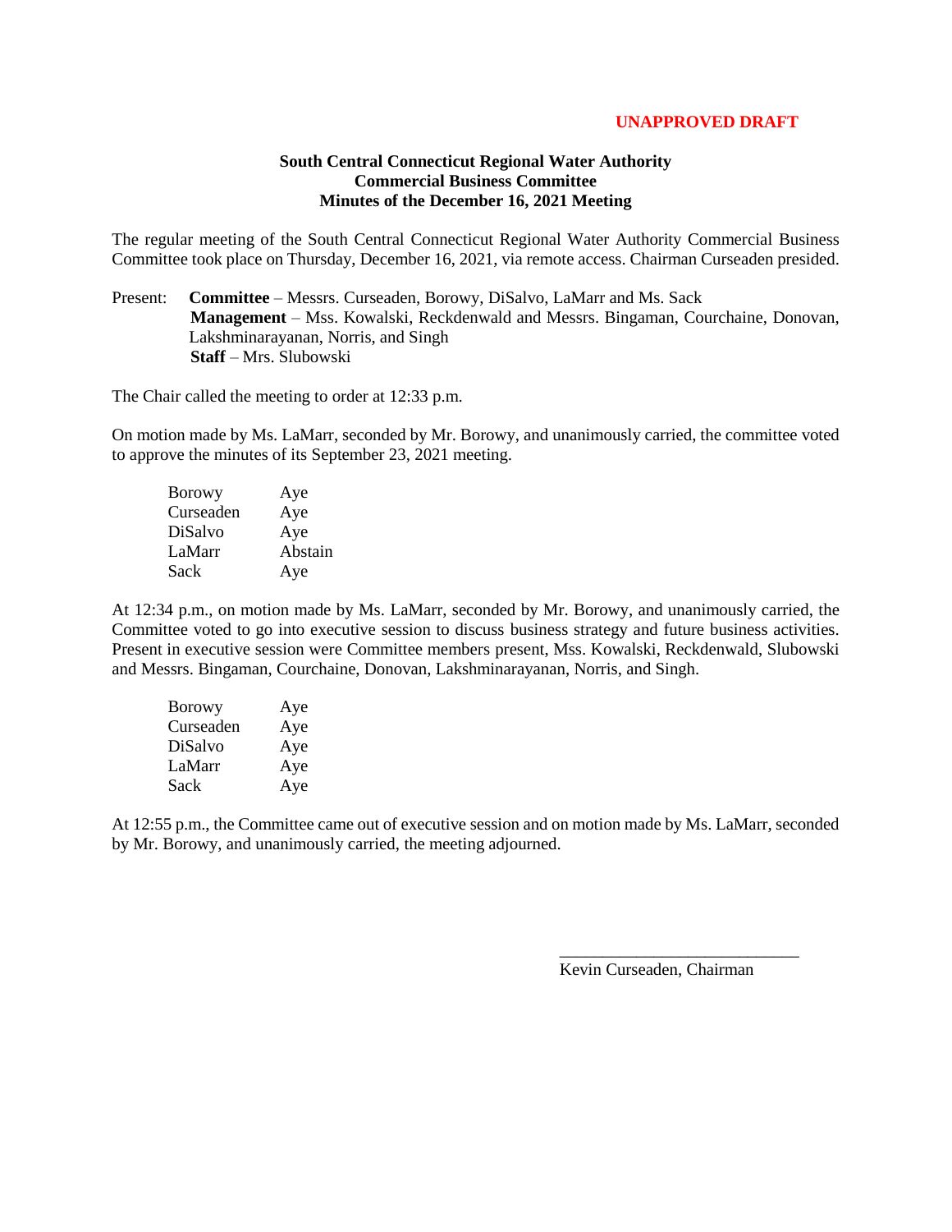## **UNAPPROVED DRAFT**

## **South Central Connecticut Regional Water Authority Commercial Business Committee Minutes of the December 16, 2021 Meeting**

The regular meeting of the South Central Connecticut Regional Water Authority Commercial Business Committee took place on Thursday, December 16, 2021, via remote access. Chairman Curseaden presided.

Present: **Committee** – Messrs. Curseaden, Borowy, DiSalvo, LaMarr and Ms. Sack  **Management** – Mss. Kowalski, Reckdenwald and Messrs. Bingaman, Courchaine, Donovan, Lakshminarayanan, Norris, and Singh  **Staff** – Mrs. Slubowski

The Chair called the meeting to order at 12:33 p.m.

On motion made by Ms. LaMarr, seconded by Mr. Borowy, and unanimously carried, the committee voted to approve the minutes of its September 23, 2021 meeting.

| Aye     |
|---------|
| Aye     |
| Aye     |
| Abstain |
| Aye     |
|         |

At 12:34 p.m., on motion made by Ms. LaMarr, seconded by Mr. Borowy, and unanimously carried, the Committee voted to go into executive session to discuss business strategy and future business activities. Present in executive session were Committee members present, Mss. Kowalski, Reckdenwald, Slubowski and Messrs. Bingaman, Courchaine, Donovan, Lakshminarayanan, Norris, and Singh.

| <b>Borowy</b> | Aye |
|---------------|-----|
| Curseaden     | Aye |
| DiSalvo       | Aye |
| LaMarr        | Aye |
| Sack          | Aye |

At 12:55 p.m., the Committee came out of executive session and on motion made by Ms. LaMarr, seconded by Mr. Borowy, and unanimously carried, the meeting adjourned.

Kevin Curseaden, Chairman

\_\_\_\_\_\_\_\_\_\_\_\_\_\_\_\_\_\_\_\_\_\_\_\_\_\_\_\_